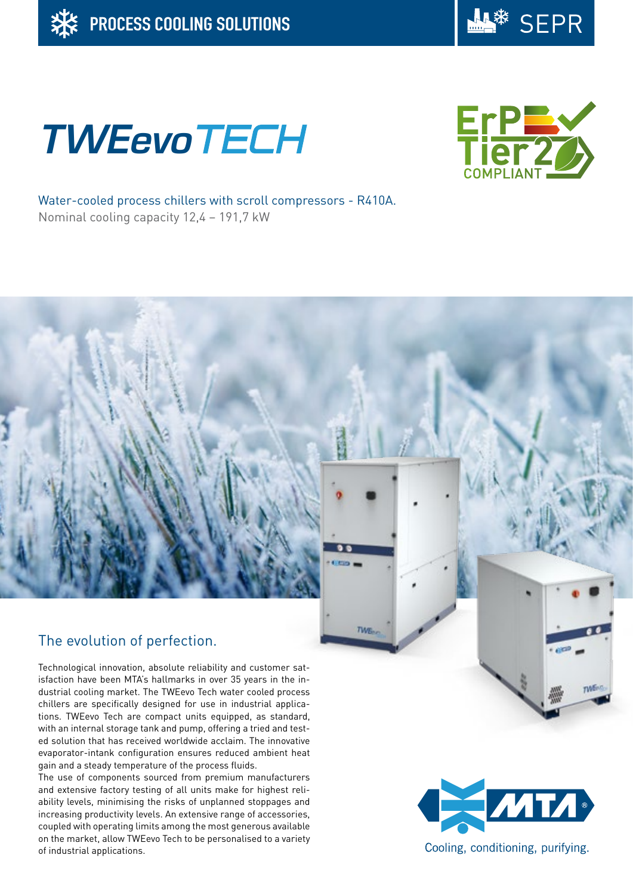

# **TWEevoTECH**



Water-cooled process chillers with scroll compressors - R410A. Nominal cooling capacity 12,4 – 191,7 kW

## The evolution of perfection.

Technological innovation, absolute reliability and customer satisfaction have been MTA's hallmarks in over 35 years in the industrial cooling market. The TWEevo Tech water cooled process chillers are specifically designed for use in industrial applications. TWEevo Tech are compact units equipped, as standard, with an internal storage tank and pump, offering a tried and tested solution that has received worldwide acclaim. The innovative evaporator-intank configuration ensures reduced ambient heat gain and a steady temperature of the process fluids.

The use of components sourced from premium manufacturers and extensive factory testing of all units make for highest reliability levels, minimising the risks of unplanned stoppages and increasing productivity levels. An extensive range of accessories, coupled with operating limits among the most generous available on the market, allow TWEevo Tech to be personalised to a variety of industrial applications.



Tite